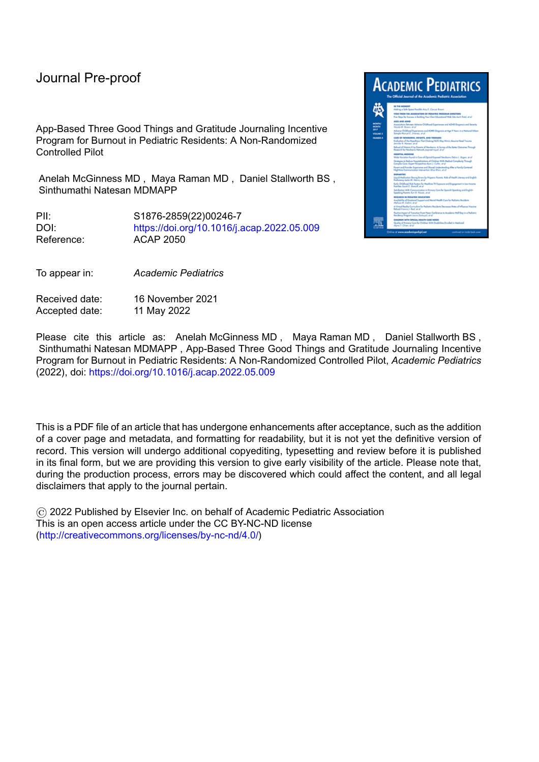### Journal Pre-proof

App-Based Three Good Things and Gratitude Journaling Incentive Program for Burnout in Pediatric Residents: A Non-Randomized Controlled Pilot

Anelah McGinness MD , Maya Raman MD , Daniel Stallworth BS , Sinthumathi Natesan MDMAPP

PII: S1876-2859(22)00246-7 DOI: <https://doi.org/10.1016/j.acap.2022.05.009> Reference: ACAP 2050

To appear in: *Academic Pediatrics*

Received date: 16 November 2021 Accepted date: 11 May 2022



Please cite this article as: Anelah McGinness MD , Maya Raman MD , Daniel Stallworth BS , Sinthumathi Natesan MDMAPP , App-Based Three Good Things and Gratitude Journaling Incentive Program for Burnout in Pediatric Residents: A Non-Randomized Controlled Pilot, *Academic Pediatrics* (2022), doi: <https://doi.org/10.1016/j.acap.2022.05.009>

This is a PDF file of an article that has undergone enhancements after acceptance, such as the addition of a cover page and metadata, and formatting for readability, but it is not yet the definitive version of record. This version will undergo additional copyediting, typesetting and review before it is published in its final form, but we are providing this version to give early visibility of the article. Please note that, during the production process, errors may be discovered which could affect the content, and all legal disclaimers that apply to the journal pertain.

© 2022 Published by Elsevier Inc. on behalf of Academic Pediatric Association This is an open access article under the CC BY-NC-ND license [\(http://creativecommons.org/licenses/by-nc-nd/4.0/\)](http://creativecommons.org/licenses/by-nc-nd/4.0/)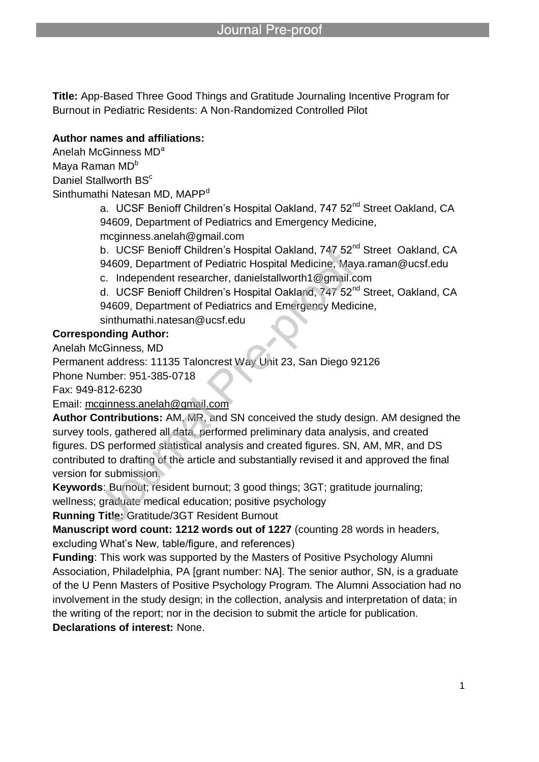**Title:** App-Based Three Good Things and Gratitude Journaling Incentive Program for Burnout in Pediatric Residents: A Non-Randomized Controlled Pilot

### **Author names and affiliations:**

Anelah McGinness MD<sup>a</sup> Maya Raman MD<sup>b</sup> Daniel Stallworth BS<sup>c</sup> Sinthumathi Natesan MD, MAPP<sup>d</sup>

a. UCSF Benioff Children's Hospital Oakland, 747 52<sup>nd</sup> Street Oakland, CA 94609, Department of Pediatrics and Emergency Medicine, mcginness.anelah@gmail.com

b. UCSF Benioff Children's Hospital Oakland, 747 52<sup>nd</sup> Street Oakland, CA 94609, Department of Pediatric Hospital Medicine, Maya.raman@ucsf.edu

c. Independent researcher, danielstallworth1@gmail.com

d. UCSF Benioff Children's Hospital Oakland, 747 52<sup>nd</sup> Street, Oakland, CA 94609, Department of Pediatrics and Emergency Medicine,

sinthumathi.natesan@ucsf.edu

l

### **Corresponding Author:**

Anelah McGinness, MD

Permanent address: 11135 Taloncrest Way Unit 23, San Diego 92126

Phone Number: 951-385-0718

Fax: 949-812-6230

Email: mcginness.anelah@gmail.com

**Author Contributions:** AM, MR, and SN conceived the study design. AM designed the survey tools, gathered all data, performed preliminary data analysis, and created figures. DS performed statistical analysis and created figures. SN, AM, MR, and DS contributed to drafting of the article and substantially revised it and approved the final version for submission.

**Keywords**: Burnout; resident burnout; 3 good things; 3GT; gratitude journaling; wellness; graduate medical education; positive psychology

**Running Title:** Gratitude/3GT Resident Burnout

**Manuscript word count: 1212 words out of 1227** (counting 28 words in headers, excluding What's New, table/figure, and references)

**Funding**: This work was supported by the Masters of Positive Psychology Alumni Association, Philadelphia, PA [grant number: NA]. The senior author, SN, is a graduate of the U Penn Masters of Positive Psychology Program. The Alumni Association had no involvement in the study design; in the collection, analysis and interpretation of data; in the writing of the report; nor in the decision to submit the article for publication.

**Declarations of interest:** None.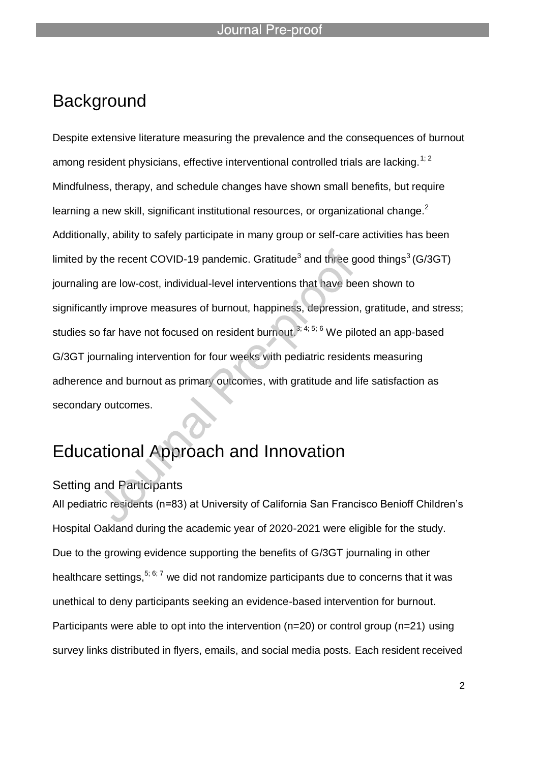# **Background**

Despite extensive literature measuring the prevalence and the consequences of burnout among resident physicians, effective interventional controlled trials are lacking.<sup>1; 2</sup> Mindfulness, therapy, and schedule changes have shown small benefits, but require learning a new skill, significant institutional resources, or organizational change.<sup>2</sup> Additionally, ability to safely participate in many group or self-care activities has been limited by the recent COVID-19 pandemic. Gratitude<sup>3</sup> and three good things<sup>3</sup> (G/3GT) journaling are low-cost, individual-level interventions that have been shown to significantly improve measures of burnout, happiness, depression, gratitude, and stress; studies so far have not focused on resident burnout.<sup>3; 4; 5; 6</sup> We piloted an app-based G/3GT journaling intervention for four weeks with pediatric residents measuring adherence and burnout as primary outcomes, with gratitude and life satisfaction as secondary outcomes.

# Educational Approach and Innovation

### Setting and Participants

All pediatric residents (n=83) at University of California San Francisco Benioff Children's Hospital Oakland during the academic year of 2020-2021 were eligible for the study. Due to the growing evidence supporting the benefits of G/3GT journaling in other healthcare settings,  $5; 6; 7$  we did not randomize participants due to concerns that it was unethical to deny participants seeking an evidence-based intervention for burnout. Participants were able to opt into the intervention (n=20) or control group (n=21) using survey links distributed in flyers, emails, and social media posts. Each resident received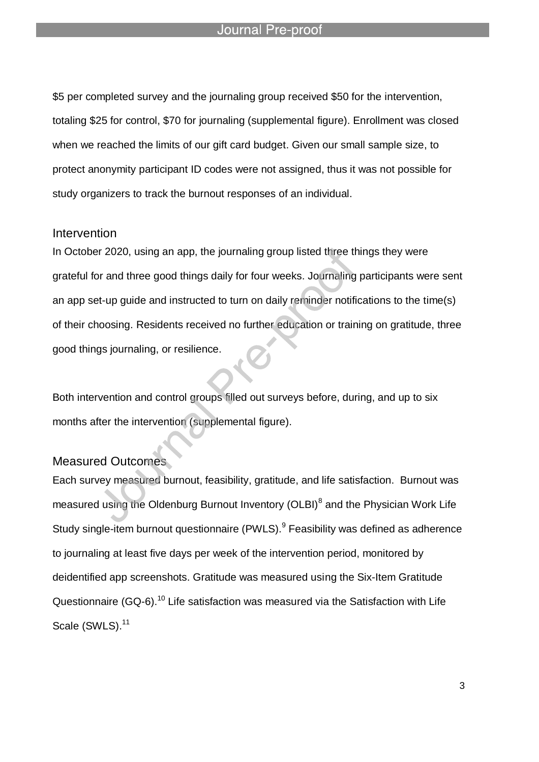#### Journal Pre-proo

l

\$5 per completed survey and the journaling group received \$50 for the intervention, totaling \$25 for control, \$70 for journaling (supplemental figure). Enrollment was closed when we reached the limits of our gift card budget. Given our small sample size, to protect anonymity participant ID codes were not assigned, thus it was not possible for study organizers to track the burnout responses of an individual.

#### Intervention

In October 2020, using an app, the journaling group listed three things they were grateful for and three good things daily for four weeks. Journaling participants were sent an app set-up guide and instructed to turn on daily reminder notifications to the time(s) of their choosing. Residents received no further education or training on gratitude, three good things journaling, or resilience.

Both intervention and control groups filled out surveys before, during, and up to six months after the intervention (supplemental figure).

#### Measured Outcomes

Each survey measured burnout, feasibility, gratitude, and life satisfaction. Burnout was measured using the Oldenburg Burnout Inventory (OLBI)<sup>8</sup> and the Physician Work Life Study single-item burnout questionnaire (PWLS).<sup>9</sup> Feasibility was defined as adherence to journaling at least five days per week of the intervention period, monitored by deidentified app screenshots. Gratitude was measured using the Six-Item Gratitude Questionnaire (GQ-6).<sup>10</sup> Life satisfaction was measured via the Satisfaction with Life Scale (SWLS).<sup>11</sup>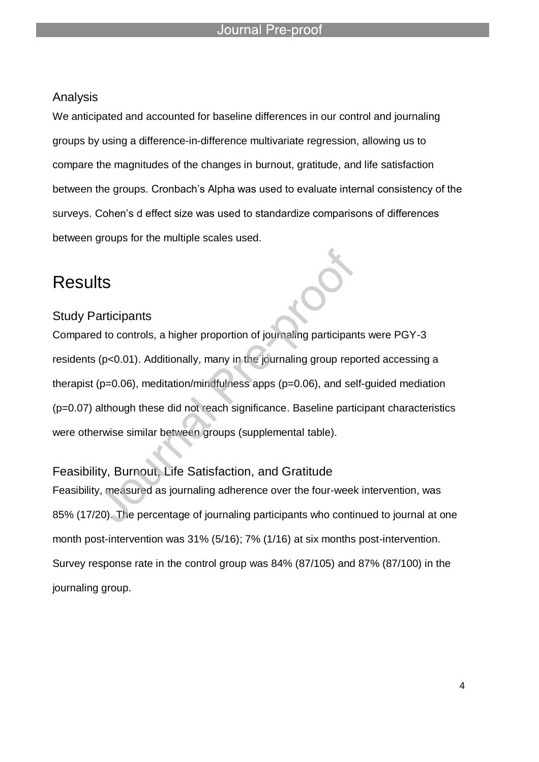### Analysis

We anticipated and accounted for baseline differences in our control and journaling groups by using a difference-in-difference multivariate regression, allowing us to compare the magnitudes of the changes in burnout, gratitude, and life satisfaction between the groups. Cronbach's Alpha was used to evaluate internal consistency of the surveys. Cohen's d effect size was used to standardize comparisons of differences between groups for the multiple scales used.

## **Results**

#### Study Participants

Compared to controls, a higher proportion of journaling participants were PGY-3 residents (p<0.01). Additionally, many in the journaling group reported accessing a therapist (p=0.06), meditation/mindfulness apps (p=0.06), and self-guided mediation (p=0.07) although these did not reach significance. Baseline participant characteristics were otherwise similar between groups (supplemental table).

### Feasibility, Burnout, Life Satisfaction, and Gratitude

Feasibility, measured as journaling adherence over the four-week intervention, was 85% (17/20). The percentage of journaling participants who continued to journal at one month post-intervention was 31% (5/16); 7% (1/16) at six months post-intervention. Survey response rate in the control group was 84% (87/105) and 87% (87/100) in the journaling group.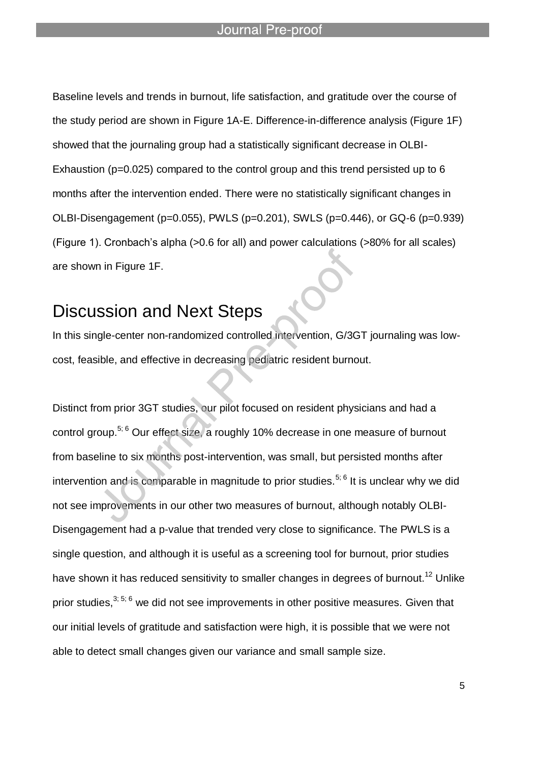#### Journal Pre-proot

l

Baseline levels and trends in burnout, life satisfaction, and gratitude over the course of the study period are shown in Figure 1A-E. Difference-in-difference analysis (Figure 1F) showed that the journaling group had a statistically significant decrease in OLBI-Exhaustion ( $p=0.025$ ) compared to the control group and this trend persisted up to 6 months after the intervention ended. There were no statistically significant changes in OLBI-Disengagement (p=0.055), PWLS (p=0.201), SWLS (p=0.446), or GQ-6 (p=0.939) (Figure 1). Cronbach's alpha (>0.6 for all) and power calculations (>80% for all scales) are shown in Figure 1F.

# Discussion and Next Steps

In this single-center non-randomized controlled intervention, G/3GT journaling was lowcost, feasible, and effective in decreasing pediatric resident burnout.

Distinct from prior 3GT studies, our pilot focused on resident physicians and had a control group.<sup>5; 6</sup> Our effect size, a roughly 10% decrease in one measure of burnout from baseline to six months post-intervention, was small, but persisted months after intervention and is comparable in magnitude to prior studies.<sup>5; 6</sup> It is unclear why we did not see improvements in our other two measures of burnout, although notably OLBI-Disengagement had a p-value that trended very close to significance. The PWLS is a single question, and although it is useful as a screening tool for burnout, prior studies have shown it has reduced sensitivity to smaller changes in degrees of burnout.<sup>12</sup> Unlike prior studies.<sup>3; 5; 6</sup> we did not see improvements in other positive measures. Given that our initial levels of gratitude and satisfaction were high, it is possible that we were not able to detect small changes given our variance and small sample size.

5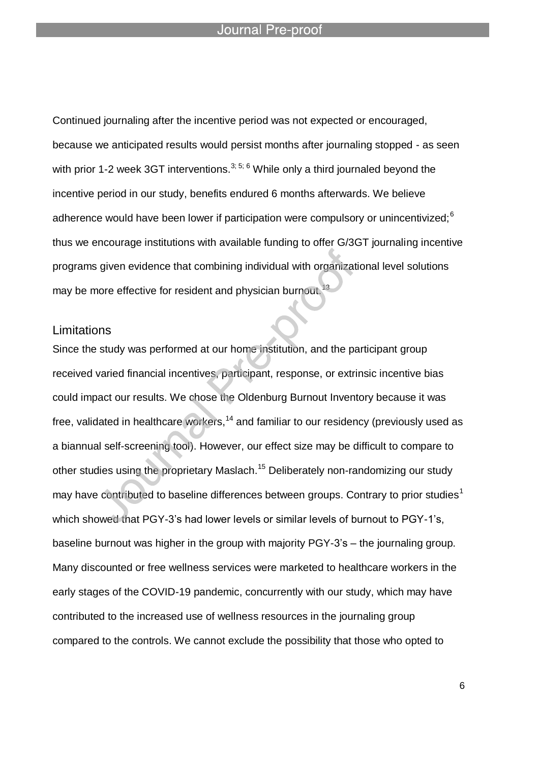Continued journaling after the incentive period was not expected or encouraged, because we anticipated results would persist months after journaling stopped - as seen with prior 1-2 week 3GT interventions.<sup>3; 5; 6</sup> While only a third journaled beyond the incentive period in our study, benefits endured 6 months afterwards. We believe adherence would have been lower if participation were compulsory or unincentivized; $<sup>6</sup>$ </sup> thus we encourage institutions with available funding to offer G/3GT journaling incentive programs given evidence that combining individual with organizational level solutions may be more effective for resident and physician burnout.<sup>13</sup>

### **Limitations**

Since the study was performed at our home institution, and the participant group received varied financial incentives, participant, response, or extrinsic incentive bias could impact our results. We chose the Oldenburg Burnout Inventory because it was free, validated in healthcare workers,<sup>14</sup> and familiar to our residency (previously used as a biannual self-screening tool). However, our effect size may be difficult to compare to other studies using the proprietary Maslach.<sup>15</sup> Deliberately non-randomizing our study may have contributed to baseline differences between groups. Contrary to prior studies<sup>1</sup> which showed that PGY-3's had lower levels or similar levels of burnout to PGY-1's, baseline burnout was higher in the group with majority PGY-3's – the journaling group. Many discounted or free wellness services were marketed to healthcare workers in the early stages of the COVID-19 pandemic, concurrently with our study, which may have contributed to the increased use of wellness resources in the journaling group compared to the controls. We cannot exclude the possibility that those who opted to

6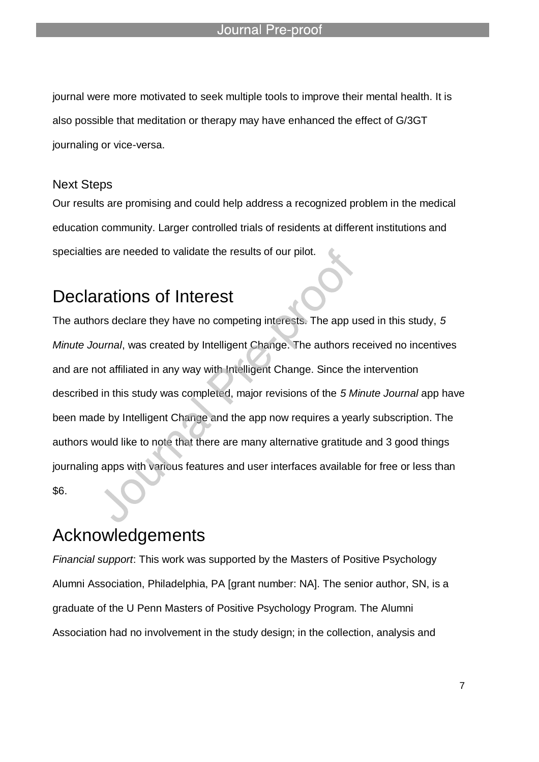journal were more motivated to seek multiple tools to improve their mental health. It is also possible that meditation or therapy may have enhanced the effect of G/3GT journaling or vice-versa.

l

### Next Steps

Our results are promising and could help address a recognized problem in the medical education community. Larger controlled trials of residents at different institutions and specialties are needed to validate the results of our pilot.

# Declarations of Interest

The authors declare they have no competing interests. The app used in this study, *5 Minute Journal*, was created by Intelligent Change. The authors received no incentives and are not affiliated in any way with Intelligent Change. Since the intervention described in this study was completed, major revisions of the *5 Minute Journal* app have been made by Intelligent Change and the app now requires a yearly subscription. The authors would like to note that there are many alternative gratitude and 3 good things journaling apps with various features and user interfaces available for free or less than \$6.

# Acknowledgements

*Financial support*: This work was supported by the Masters of Positive Psychology Alumni Association, Philadelphia, PA [grant number: NA]. The senior author, SN, is a graduate of the U Penn Masters of Positive Psychology Program. The Alumni Association had no involvement in the study design; in the collection, analysis and

7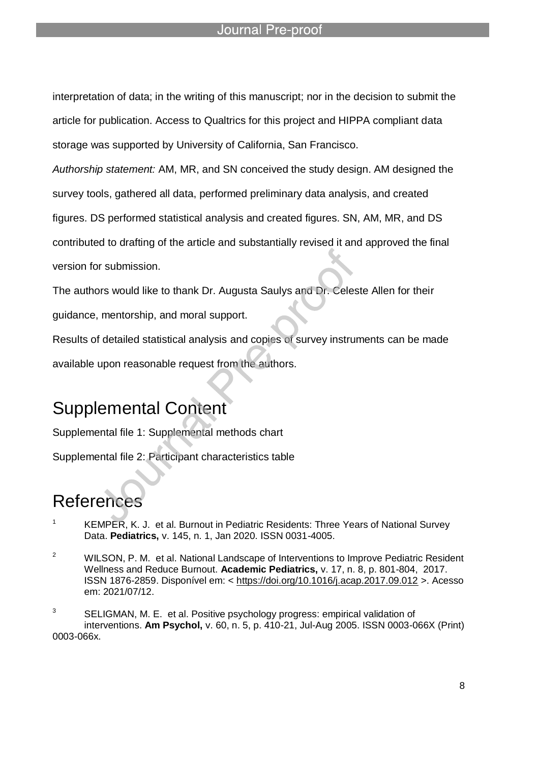#### Journal Pre-proo

l

interpretation of data; in the writing of this manuscript; nor in the decision to submit the article for publication. Access to Qualtrics for this project and HIPPA compliant data storage was supported by University of California, San Francisco.

*Authorship statement:* AM, MR, and SN conceived the study design. AM designed the

survey tools, gathered all data, performed preliminary data analysis, and created

figures. DS performed statistical analysis and created figures. SN, AM, MR, and DS

contributed to drafting of the article and substantially revised it and approved the final

version for submission.

The authors would like to thank Dr. Augusta Saulys and Dr. Celeste Allen for their

guidance, mentorship, and moral support.

Results of detailed statistical analysis and copies of survey instruments can be made available upon reasonable request from the authors.

# Supplemental Content

Supplemental file 1: Supplemental methods chart

Supplemental file 2: Participant characteristics table

# References

- <sup>1</sup> KEMPER, K. J. et al. Burnout in Pediatric Residents: Three Years of National Survey Data. **Pediatrics,** v. 145, n. 1, Jan 2020. ISSN 0031-4005.
- <sup>2</sup> WILSON, P. M. et al. National Landscape of Interventions to Improve Pediatric Resident Wellness and Reduce Burnout. **Academic Pediatrics,** v. 17, n. 8, p. 801-804, 2017. ISSN 1876-2859. Disponível em: < https://doi.org/10.1016/j.acap.2017.09.012 >. Acesso em: 2021/07/12.

 $3$  SELIGMAN, M. E. et al. Positive psychology progress: empirical validation of interventions. **Am Psychol,** v. 60, n. 5, p. 410-21, Jul-Aug 2005. ISSN 0003-066X (Print) 0003-066x.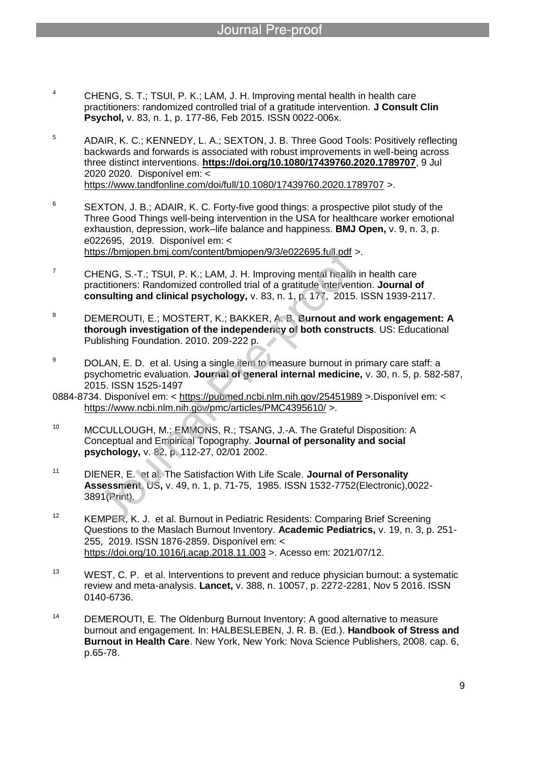<sup>4</sup> CHENG, S. T.; TSUI, P. K.; LAM, J. H. Improving mental health in health care practitioners: randomized controlled trial of a gratitude intervention. **J Consult Clin Psychol,** v. 83, n. 1, p. 177-86, Feb 2015. ISSN 0022-006x.

l

- <sup>5</sup> ADAIR, K. C.; KENNEDY, L. A.; SEXTON, J. B. Three Good Tools: Positively reflecting backwards and forwards is associated with robust improvements in well-being across three distinct interventions. **https://doi.org/10.1080/17439760.2020.1789707**, 9 Jul 2020 2020. Disponível em: < https://www.tandfonline.com/doi/full/10.1080/17439760.2020.1789707 >.
- $6$  SEXTON, J. B.; ADAIR, K. C. Forty-five good things: a prospective pilot study of the Three Good Things well-being intervention in the USA for healthcare worker emotional exhaustion, depression, work–life balance and happiness. **BMJ Open,** v. 9, n. 3, p. e022695, 2019. Disponível em: < https://bmjopen.bmj.com/content/bmjopen/9/3/e022695.full.pdf >.

 $7$  CHENG, S.-T.; TSUI, P. K.; LAM, J. H. Improving mental health in health care

- practitioners: Randomized controlled trial of a gratitude intervention. **Journal of consulting and clinical psychology,** v. 83, n. 1, p. 177, 2015. ISSN 1939-2117.
- <sup>8</sup> DEMEROUTI, E.; MOSTERT, K.; BAKKER, A. B. **Burnout and work engagement: A thorough investigation of the independency of both constructs**. US: Educational Publishing Foundation. 2010. 209-222 p.
- $9$  DOLAN, E. D. et al. Using a single item to measure burnout in primary care staff: a psychometric evaluation. **Journal of general internal medicine,** v. 30, n. 5, p. 582-587, 2015. ISSN 1525-1497

0884-8734. Disponível em: < https://pubmed.ncbi.nlm.nih.gov/25451989 >.Disponível em: < https://www.ncbi.nlm.nih.gov/pmc/articles/PMC4395610/ >.

- <sup>10</sup> MCCULLOUGH, M.; EMMONS, R.; TSANG, J.-A. The Grateful Disposition: A Conceptual and Empirical Topography. **Journal of personality and social psychology,** v. 82, p. 112-27, 02/01 2002.
- <sup>11</sup> DIENER, E. et al. The Satisfaction With Life Scale. **Journal of Personality Assessment**, US**,** v. 49, n. 1, p. 71-75, 1985. ISSN 1532-7752(Electronic),0022- 3891(Print).
- <sup>12</sup> KEMPER, K. J. et al. Burnout in Pediatric Residents: Comparing Brief Screening Questions to the Maslach Burnout Inventory. **Academic Pediatrics,** v. 19, n. 3, p. 251- 255, 2019. ISSN 1876-2859. Disponível em: < https://doi.org/10.1016/j.acap.2018.11.003 >. Acesso em: 2021/07/12.
- <sup>13</sup> WEST, C. P. et al. Interventions to prevent and reduce physician burnout: a systematic review and meta-analysis. **Lancet,** v. 388, n. 10057, p. 2272-2281, Nov 5 2016. ISSN 0140-6736.
- <sup>14</sup> DEMEROUTI, E. The Oldenburg Burnout Inventory: A good alternative to measure burnout and engagement. In: HALBESLEBEN, J. R. B. (Ed.). **Handbook of Stress and Burnout in Health Care**. New York, New York: Nova Science Publishers, 2008. cap. 6, p.65-78.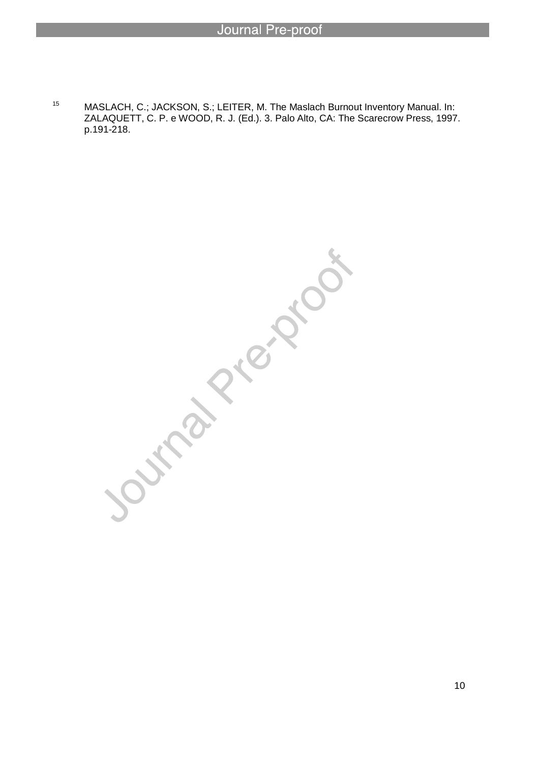<sup>15</sup> MASLACH, C.; JACKSON, S.; LEITER, M. The Maslach Burnout Inventory Manual. In: ZALAQUETT, C. P. e WOOD, R. J. (Ed.). 3. Palo Alto, CA: The Scarecrow Press, 1997. p.191-218.

Journal Prejous